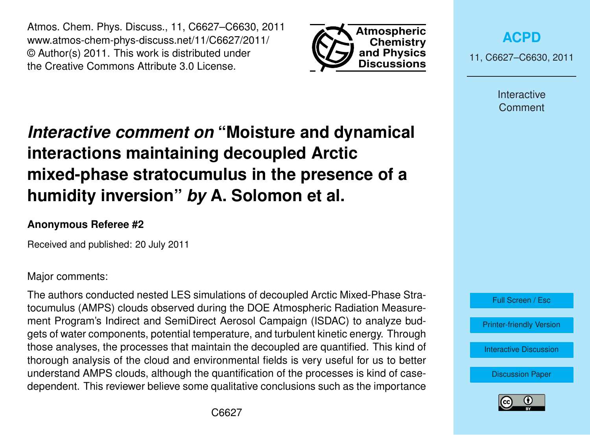Atmos. Chem. Phys. Discuss., 11, C6627–C6630, 2011 www.atmos-chem-phys-discuss.net/11/C6627/2011/ © Author(s) 2011. This work is distributed under the Creative Commons Attribute 3.0 License.



**[ACPD](http://www.atmos-chem-phys-discuss.net)**

11, C6627–C6630, 2011

Interactive **Comment** 

## *Interactive comment on* **"Moisture and dynamical interactions maintaining decoupled Arctic mixed-phase stratocumulus in the presence of a humidity inversion"** *by* **A. Solomon et al.**

## **Anonymous Referee #2**

Received and published: 20 July 2011

Major comments:

The authors conducted nested LES simulations of decoupled Arctic Mixed-Phase Stratocumulus (AMPS) clouds observed during the DOE Atmospheric Radiation Measurement Program's Indirect and SemiDirect Aerosol Campaign (ISDAC) to analyze budgets of water components, potential temperature, and turbulent kinetic energy. Through those analyses, the processes that maintain the decoupled are quantified. This kind of thorough analysis of the cloud and environmental fields is very useful for us to better understand AMPS clouds, although the quantification of the processes is kind of casedependent. This reviewer believe some qualitative conclusions such as the importance



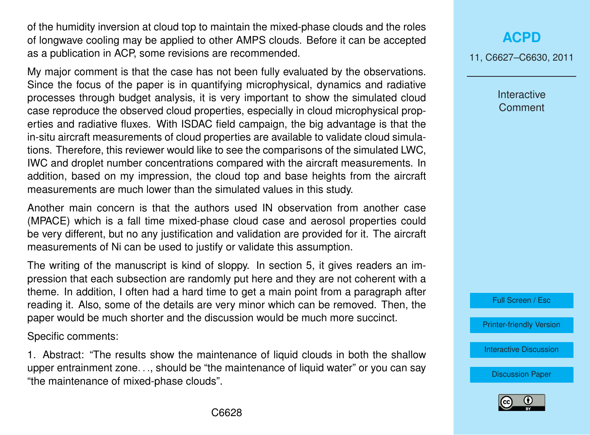of the humidity inversion at cloud top to maintain the mixed-phase clouds and the roles of longwave cooling may be applied to other AMPS clouds. Before it can be accepted as a publication in ACP, some revisions are recommended.

My major comment is that the case has not been fully evaluated by the observations. Since the focus of the paper is in quantifying microphysical, dynamics and radiative processes through budget analysis, it is very important to show the simulated cloud case reproduce the observed cloud properties, especially in cloud microphysical properties and radiative fluxes. With ISDAC field campaign, the big advantage is that the in-situ aircraft measurements of cloud properties are available to validate cloud simulations. Therefore, this reviewer would like to see the comparisons of the simulated LWC, IWC and droplet number concentrations compared with the aircraft measurements. In addition, based on my impression, the cloud top and base heights from the aircraft measurements are much lower than the simulated values in this study.

Another main concern is that the authors used IN observation from another case (MPACE) which is a fall time mixed-phase cloud case and aerosol properties could be very different, but no any justification and validation are provided for it. The aircraft measurements of Ni can be used to justify or validate this assumption.

The writing of the manuscript is kind of sloppy. In section 5, it gives readers an impression that each subsection are randomly put here and they are not coherent with a theme. In addition, I often had a hard time to get a main point from a paragraph after reading it. Also, some of the details are very minor which can be removed. Then, the paper would be much shorter and the discussion would be much more succinct.

Specific comments:

1. Abstract: "The results show the maintenance of liquid clouds in both the shallow upper entrainment zone..., should be "the maintenance of liquid water" or you can sav "the maintenance of mixed-phase clouds".

## **[ACPD](http://www.atmos-chem-phys-discuss.net)**

11, C6627–C6630, 2011

Interactive **Comment** 

Full Screen / Esc

[Printer-friendly Version](http://www.atmos-chem-phys-discuss.net/11/C6627/2011/acpd-11-C6627-2011-print.pdf)

[Interactive Discussion](http://www.atmos-chem-phys-discuss.net/11/13469/2011/acpd-11-13469-2011-discussion.html)

[Discussion Paper](http://www.atmos-chem-phys-discuss.net/11/13469/2011/acpd-11-13469-2011.pdf)

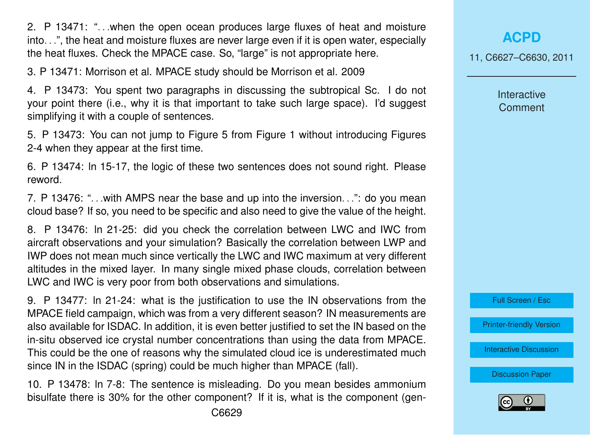2. P 13471: ". . .when the open ocean produces large fluxes of heat and moisture into. . .", the heat and moisture fluxes are never large even if it is open water, especially the heat fluxes. Check the MPACE case. So, "large" is not appropriate here.

3. P 13471: Morrison et al. MPACE study should be Morrison et al. 2009

4. P 13473: You spent two paragraphs in discussing the subtropical Sc. I do not your point there (i.e., why it is that important to take such large space). I'd suggest simplifying it with a couple of sentences.

5. P 13473: You can not jump to Figure 5 from Figure 1 without introducing Figures 2-4 when they appear at the first time.

6. P 13474: ln 15-17, the logic of these two sentences does not sound right. Please reword.

7. P 13476: ". . .with AMPS near the base and up into the inversion. . .": do you mean cloud base? If so, you need to be specific and also need to give the value of the height.

8. P 13476: ln 21-25: did you check the correlation between LWC and IWC from aircraft observations and your simulation? Basically the correlation between LWP and IWP does not mean much since vertically the LWC and IWC maximum at very different altitudes in the mixed layer. In many single mixed phase clouds, correlation between LWC and IWC is very poor from both observations and simulations.

9. P 13477: ln 21-24: what is the justification to use the IN observations from the MPACE field campaign, which was from a very different season? IN measurements are also available for ISDAC. In addition, it is even better justified to set the IN based on the in-situ observed ice crystal number concentrations than using the data from MPACE. This could be the one of reasons why the simulated cloud ice is underestimated much since IN in the ISDAC (spring) could be much higher than MPACE (fall).

10. P 13478: ln 7-8: The sentence is misleading. Do you mean besides ammonium bisulfate there is 30% for the other component? If it is, what is the component (gen11, C6627–C6630, 2011

Interactive **Comment** 



[Printer-friendly Version](http://www.atmos-chem-phys-discuss.net/11/C6627/2011/acpd-11-C6627-2011-print.pdf)

[Interactive Discussion](http://www.atmos-chem-phys-discuss.net/11/13469/2011/acpd-11-13469-2011-discussion.html)

[Discussion Paper](http://www.atmos-chem-phys-discuss.net/11/13469/2011/acpd-11-13469-2011.pdf)